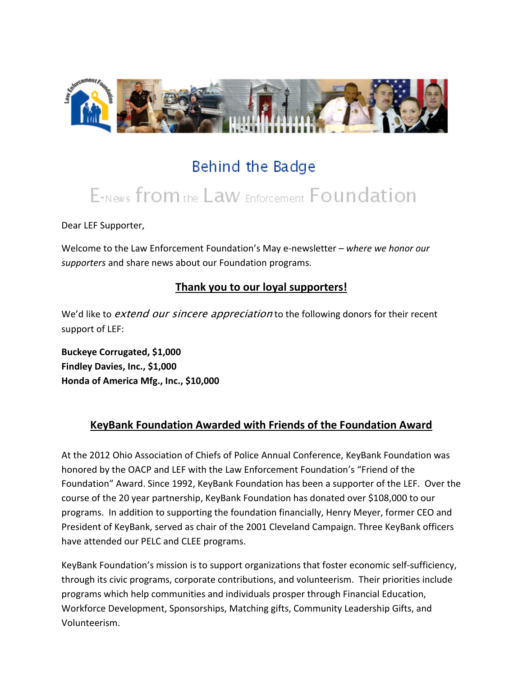

## Behind the Badge

# E-News from the Law Enforcement Foundation

Dear LEF Supporter,

Welcome to the Law Enforcement Foundation's May e-newsletter *– where we honor our supporters* and share news about our Foundation programs.

### **Thank you to our loyal supporters!**

We'd like to *extend our sincere appreciation* to the following donors for their recent support of LEF:

**Buckeye Corrugated, \$1,000 Findley Davies, Inc., \$1,000 Honda of America Mfg., Inc., \$10,000**

#### **KeyBank Foundation Awarded with Friends of the Foundation Award**

At the 2012 Ohio Association of Chiefs of Police Annual Conference, KeyBank Foundation was honored by the OACP and LEF with the Law Enforcement Foundation's "Friend of the Foundation" Award. Since 1992, KeyBank Foundation has been a supporter of the LEF. Over the course of the 20 year partnership, KeyBank Foundation has donated over \$108,000 to our programs. In addition to supporting the foundation financially, Henry Meyer, former CEO and President of KeyBank, served as chair of the 2001 Cleveland Campaign. Three KeyBank officers have attended our PELC and CLEE programs.

KeyBank Foundation's mission is to support organizations that foster economic self-sufficiency, through its civic programs, corporate contributions, and volunteerism. Their priorities include programs which help communities and individuals prosper through Financial Education, Workforce Development, Sponsorships, Matching gifts, Community Leadership Gifts, and Volunteerism.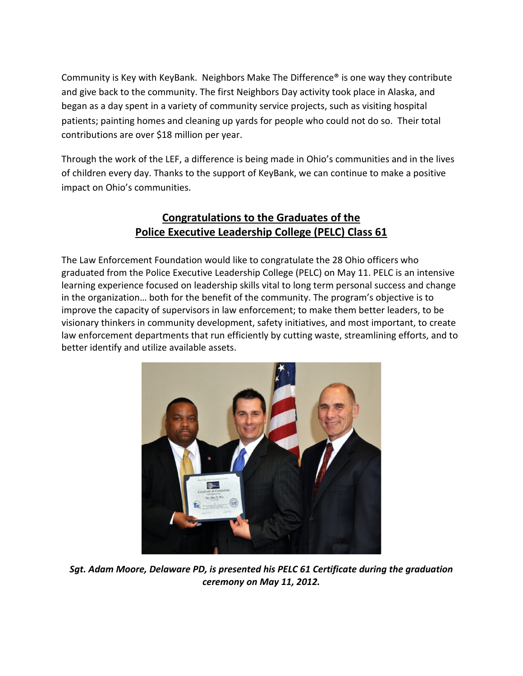Community is Key with KeyBank. Neighbors Make The Difference® is one way they contribute and give back to the community. The first Neighbors Day activity took place in Alaska, and began as a day spent in a variety of community service projects, such as visiting hospital patients; painting homes and cleaning up yards for people who could not do so. Their total contributions are over \$18 million per year.

Through the work of the LEF, a difference is being made in Ohio's communities and in the lives of children every day. Thanks to the support of KeyBank, we can continue to make a positive impact on Ohio's communities.

### **Congratulations to the Graduates of the Police Executive Leadership College (PELC) Class 61**

The Law Enforcement Foundation would like to congratulate the 28 Ohio officers who graduated from the Police Executive Leadership College (PELC) on May 11. PELC is an intensive learning experience focused on leadership skills vital to long term personal success and change in the organization… both for the benefit of the community. The program's objective is to improve the capacity of supervisors in law enforcement; to make them better leaders, to be visionary thinkers in community development, safety initiatives, and most important, to create law enforcement departments that run efficiently by cutting waste, streamlining efforts, and to better identify and utilize available assets.



*Sgt. Adam Moore, Delaware PD, is presented his PELC 61 Certificate during the graduation ceremony on May 11, 2012.*